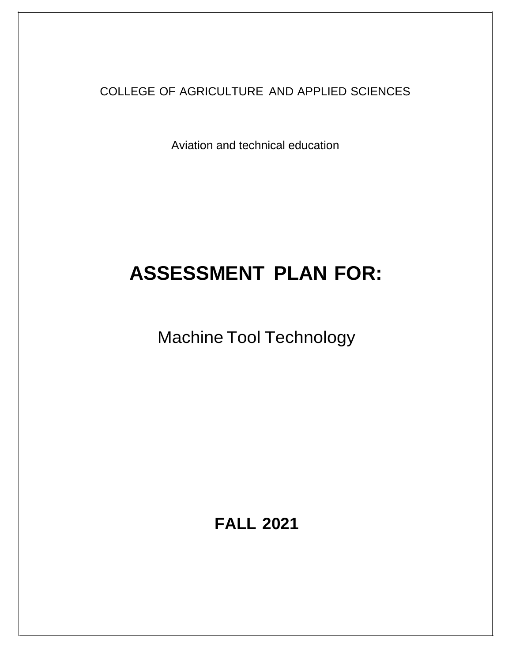COLLEGE OF AGRICULTURE AND APPLIED SCIENCES

Aviation and technical education

# **ASSESSMENT PLAN FOR:**

Machine Tool Technology

**FALL 2021**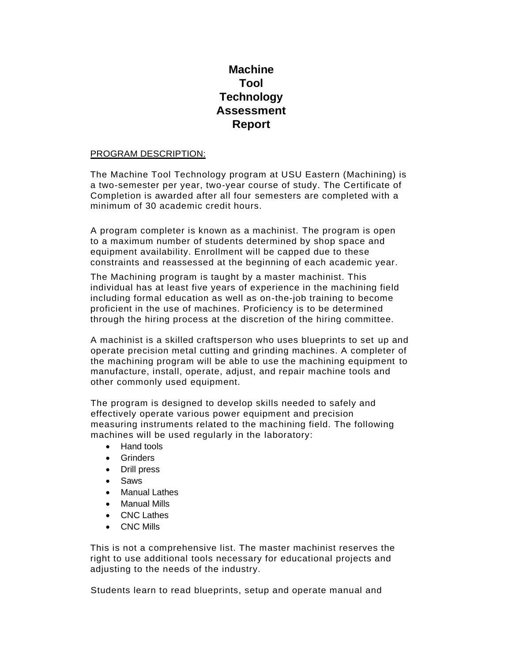# **Machine Tool Technology Assessment Report**

# PROGRAM DESCRIPTION:

The Machine Tool Technology program at USU Eastern (Machining) is a two-semester per year, two-year course of study. The Certificate of Completion is awarded after all four semesters are completed with a minimum of 30 academic credit hours.

A program completer is known as a machinist. The program is open to a maximum number of students determined by shop space and equipment availability. Enrollment will be capped due to these constraints and reassessed at the beginning of each academic year.

The Machining program is taught by a master machinist. This individual has at least five years of experience in the machining field including formal education as well as on-the-job training to become proficient in the use of machines. Proficiency is to be determined through the hiring process at the discretion of the hiring committee.

A machinist is a skilled craftsperson who uses blueprints to set up and operate precision metal cutting and grinding machines. A completer of the machining program will be able to use the machining equipment to manufacture, install, operate, adjust, and repair machine tools and other commonly used equipment.

The program is designed to develop skills needed to safely and effectively operate various power equipment and precision measuring instruments related to the machining field. The following machines will be used regularly in the laboratory:

- Hand tools
- Grinders
- Drill press
- Saws
- **Manual Lathes**
- Manual Mills
- CNC Lathes
- CNC Mills

This is not a comprehensive list. The master machinist reserves the right to use additional tools necessary for educational projects and adjusting to the needs of the industry.

Students learn to read blueprints, setup and operate manual and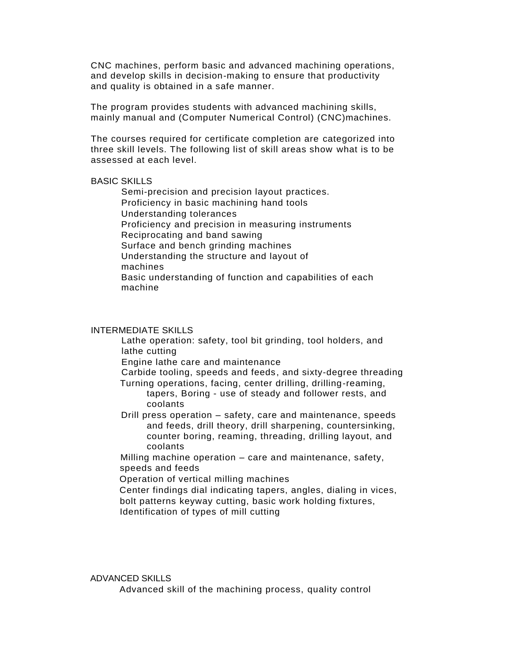CNC machines, perform basic and advanced machining operations, and develop skills in decision-making to ensure that productivity and quality is obtained in a safe manner.

The program provides students with advanced machining skills, mainly manual and (Computer Numerical Control) (CNC)machines.

The courses required for certificate completion are categorized into three skill levels. The following list of skill areas show what is to be assessed at each level.

# BASIC SKILLS

Semi-precision and precision layout practices. Proficiency in basic machining hand tools Understanding tolerances Proficiency and precision in measuring instruments Reciprocating and band sawing Surface and bench grinding machines Understanding the structure and layout of machines Basic understanding of function and capabilities of each machine

# INTERMEDIATE SKILLS

Lathe operation: safety, tool bit grinding, tool holders, and lathe cutting

Engine lathe care and maintenance

Carbide tooling, speeds and feeds, and sixty-degree threading Turning operations, facing, center drilling, drilling-reaming,

tapers, Boring - use of steady and follower rests, and coolants

Drill press operation – safety, care and maintenance, speeds and feeds, drill theory, drill sharpening, countersinking, counter boring, reaming, threading, drilling layout, and coolants

Milling machine operation – care and maintenance, safety, speeds and feeds

Operation of vertical milling machines

Center findings dial indicating tapers, angles, dialing in vices, bolt patterns keyway cutting, basic work holding fixtures, Identification of types of mill cutting

ADVANCED SKILLS

Advanced skill of the machining process, quality control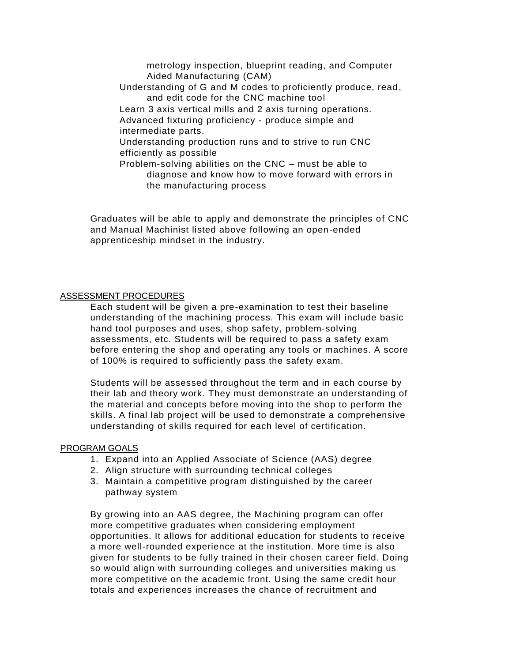metrology inspection, blueprint reading, and Computer Aided Manufacturing (CAM) Understanding of G and M codes to proficiently produce, read, and edit code for the CNC machine tool Learn 3 axis vertical mills and 2 axis turning operations. Advanced fixturing proficiency - produce simple and intermediate parts. Understanding production runs and to strive to run CNC efficiently as possible Problem-solving abilities on the CNC – must be able to diagnose and know how to move forward with errors in the manufacturing process

Graduates will be able to apply and demonstrate the principles of CNC and Manual Machinist listed above following an open-ended apprenticeship mindset in the industry.

### ASSESSMENT PROCEDURES

Each student will be given a pre-examination to test their baseline understanding of the machining process. This exam will include basic hand tool purposes and uses, shop safety, problem-solving assessments, etc. Students will be required to pass a safety exam before entering the shop and operating any tools or machines. A score of 100% is required to sufficiently pass the safety exam.

Students will be assessed throughout the term and in each course by their lab and theory work. They must demonstrate an understanding of the material and concepts before moving into the shop to perform the skills. A final lab project will be used to demonstrate a comprehensive understanding of skills required for each level of certification.

### PROGRAM GOALS

- 1. Expand into an Applied Associate of Science (AAS) degree
- 2. Align structure with surrounding technical colleges
- 3. Maintain a competitive program distinguished by the career pathway system

By growing into an AAS degree, the Machining program can offer more competitive graduates when considering employment opportunities. It allows for additional education for students to receive a more well-rounded experience at the institution. More time is also given for students to be fully trained in their chosen career field. Doing so would align with surrounding colleges and universities making us more competitive on the academic front. Using the same credit hour totals and experiences increases the chance of recruitment and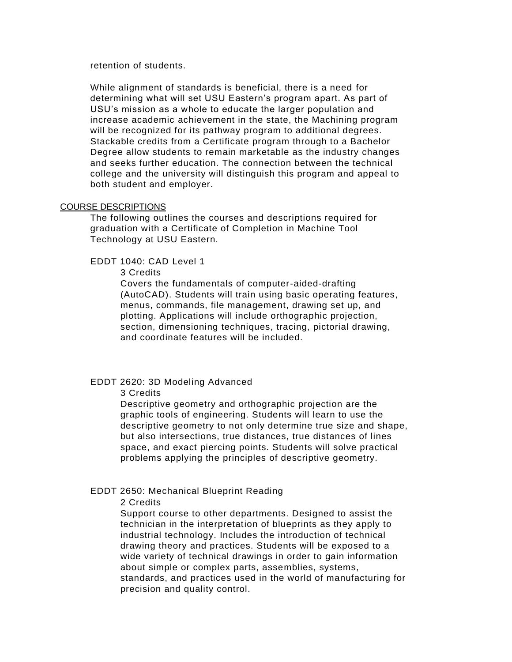retention of students.

While alignment of standards is beneficial, there is a need for determining what will set USU Eastern's program apart. As part of USU's mission as a whole to educate the larger population and increase academic achievement in the state, the Machining program will be recognized for its pathway program to additional degrees. Stackable credits from a Certificate program through to a Bachelor Degree allow students to remain marketable as the industry changes and seeks further education. The connection between the technical college and the university will distinguish this program and appeal to both student and employer.

# COURSE DESCRIPTIONS

The following outlines the courses and descriptions required for graduation with a Certificate of Completion in Machine Tool Technology at USU Eastern.

EDDT 1040: CAD Level 1

3 Credits

Covers the fundamentals of computer-aided-drafting (AutoCAD). Students will train using basic operating features, menus, commands, file management, drawing set up, and plotting. Applications will include orthographic projection, section, dimensioning techniques, tracing, pictorial drawing, and coordinate features will be included.

# EDDT 2620: 3D Modeling Advanced

3 Credits

Descriptive geometry and orthographic projection are the graphic tools of engineering. Students will learn to use the descriptive geometry to not only determine true size and shape, but also intersections, true distances, true distances of lines space, and exact piercing points. Students will solve practical problems applying the principles of descriptive geometry.

### EDDT 2650: Mechanical Blueprint Reading

2 Credits

Support course to other departments. Designed to assist the technician in the interpretation of blueprints as they apply to industrial technology. Includes the introduction of technical drawing theory and practices. Students will be exposed to a wide variety of technical drawings in order to gain information about simple or complex parts, assemblies, systems, standards, and practices used in the world of manufacturing for precision and quality control.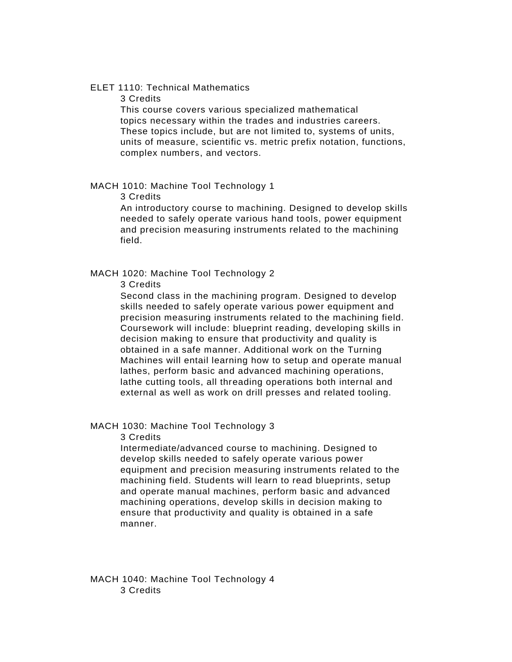# ELET 1110: Technical Mathematics

3 Credits

This course covers various specialized mathematical topics necessary within the trades and industries careers. These topics include, but are not limited to, systems of units, units of measure, scientific vs. metric prefix notation, functions, complex numbers, and vectors.

## MACH 1010: Machine Tool Technology 1

3 Credits

An introductory course to machining. Designed to develop skills needed to safely operate various hand tools, power equipment and precision measuring instruments related to the machining field.

### MACH 1020: Machine Tool Technology 2

3 Credits

Second class in the machining program. Designed to develop skills needed to safely operate various power equipment and precision measuring instruments related to the machining field. Coursework will include: blueprint reading, developing skills in decision making to ensure that productivity and quality is obtained in a safe manner. Additional work on the Turning Machines will entail learning how to setup and operate manual lathes, perform basic and advanced machining operations, lathe cutting tools, all threading operations both internal and external as well as work on drill presses and related tooling.

#### MACH 1030: Machine Tool Technology 3

3 Credits

Intermediate/advanced course to machining. Designed to develop skills needed to safely operate various power equipment and precision measuring instruments related to the machining field. Students will learn to read blueprints, setup and operate manual machines, perform basic and advanced machining operations, develop skills in decision making to ensure that productivity and quality is obtained in a safe manner.

MACH 1040: Machine Tool Technology 4 3 Credits